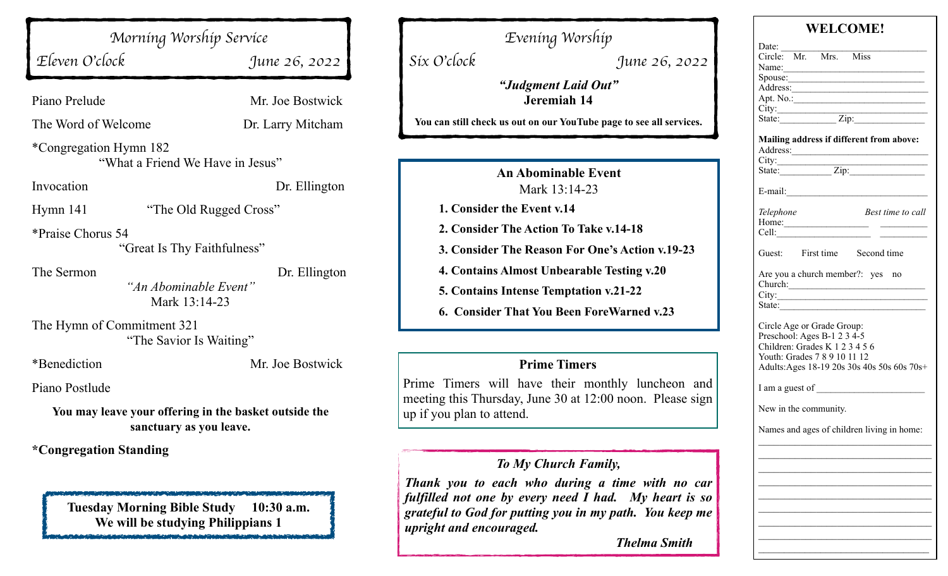*Morning Worship Service*

*Eleven O*'*clock June 26, 2022*

Piano Prelude Mr. Joe Bostwick

The Word of Welcome Dr. Larry Mitcham

\*Congregation Hymn 182 "What a Friend We Have in Jesus"

Invocation Dr. Ellington

Hymn 141 "The Old Rugged Cross"

\*Praise Chorus 54 "Great Is Thy Faithfulness"

The Sermon Dr. Ellington *"An Abominable Event"*  Mark 13:14-23

The Hymn of Commitment 321 "The Savior Is Waiting"

\*Benediction Mr. Joe Bostwick

Piano Postlude

**You may leave your offering in the basket outside the sanctuary as you leave.**

**\*Congregation Standing**

**Tuesday Morning Bible Study 10:30 a.m. We will be studying Philippians 1**

*Evening Worship Six O*'*clock June 26, 2022 "Judgment Laid Out"* **Jeremiah 14 You can still check us out on our YouTube page to see all services. An Abominable Event** Mark 13:14-23 **1. Consider the Event v.14 2. Consider The Action To Take v.14-18 3. Consider The Reason For One's Action v.19-23 4. Contains Almost Unbearable Testing v.20 5. Contains Intense Temptation v.21-22**

**6. Consider That You Been ForeWarned v.23**

#### **Prime Timers**

Prime Timers will have their monthly luncheon and meeting this Thursday, June 30 at 12:00 noon. Please sign up if you plan to attend.

# *To My Church Family,*

*Thank you to each who during a time with no car fulfilled not one by every need I had. My heart is so grateful to God for putting you in my path. You keep me upright and encouraged.*

 *Thelma Smith*

| WELCOME!                                                                                                                    |  |  |                                                           |  |
|-----------------------------------------------------------------------------------------------------------------------------|--|--|-----------------------------------------------------------|--|
| Date: $\frac{ }{ }$                                                                                                         |  |  |                                                           |  |
| Circle: Mr. Mrs. Miss                                                                                                       |  |  |                                                           |  |
| Name:                                                                                                                       |  |  |                                                           |  |
|                                                                                                                             |  |  |                                                           |  |
|                                                                                                                             |  |  |                                                           |  |
|                                                                                                                             |  |  |                                                           |  |
|                                                                                                                             |  |  |                                                           |  |
|                                                                                                                             |  |  |                                                           |  |
| Address:                                                                                                                    |  |  | Mailing address if different from above:                  |  |
|                                                                                                                             |  |  |                                                           |  |
|                                                                                                                             |  |  |                                                           |  |
|                                                                                                                             |  |  |                                                           |  |
| Telephone                                                                                                                   |  |  | Best time to call                                         |  |
| Home:                                                                                                                       |  |  |                                                           |  |
| Cell:                                                                                                                       |  |  |                                                           |  |
|                                                                                                                             |  |  | Guest: First time Second time                             |  |
|                                                                                                                             |  |  | Are you a church member?: yes no<br>Church:<br>City:      |  |
|                                                                                                                             |  |  | State: $\frac{1}{\sqrt{1-\frac{1}{2}} \cdot \frac{1}{2}}$ |  |
| Circle Age or Grade Group:<br>Preschool: Ages B-1 2 3 4-5<br>Children: Grades K 1 2 3 4 5 6<br>Youth: Grades 7 8 9 10 11 12 |  |  | Adults: Ages 18-19 20s 30s 40s 50s 60s 70s+               |  |
|                                                                                                                             |  |  |                                                           |  |
| New in the community.                                                                                                       |  |  |                                                           |  |
|                                                                                                                             |  |  | Names and ages of children living in home:                |  |
|                                                                                                                             |  |  |                                                           |  |
|                                                                                                                             |  |  |                                                           |  |
|                                                                                                                             |  |  |                                                           |  |
|                                                                                                                             |  |  |                                                           |  |
|                                                                                                                             |  |  |                                                           |  |
|                                                                                                                             |  |  |                                                           |  |
|                                                                                                                             |  |  |                                                           |  |
|                                                                                                                             |  |  |                                                           |  |
|                                                                                                                             |  |  |                                                           |  |
|                                                                                                                             |  |  |                                                           |  |
|                                                                                                                             |  |  |                                                           |  |

 $W = \alpha \alpha + \epsilon$